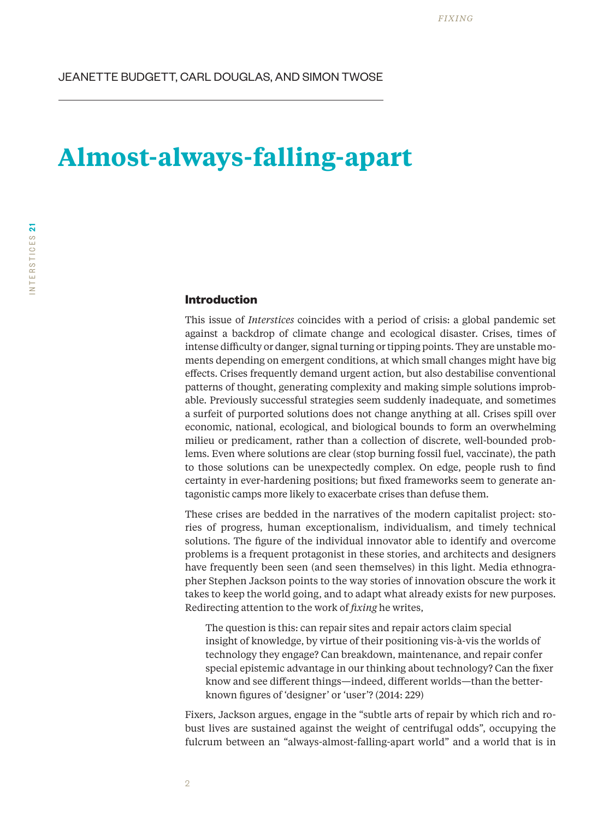# **Almost-always-falling-apart**

# **Introduction**

This issue of *Interstices* coincides with a period of crisis: a global pandemic set against a backdrop of climate change and ecological disaster. Crises, times of intense difficulty or danger, signal turning or tipping points. They are unstable moments depending on emergent conditions, at which small changes might have big effects. Crises frequently demand urgent action, but also destabilise conventional patterns of thought, generating complexity and making simple solutions improbable. Previously successful strategies seem suddenly inadequate, and sometimes a surfeit of purported solutions does not change anything at all. Crises spill over economic, national, ecological, and biological bounds to form an overwhelming milieu or predicament, rather than a collection of discrete, well-bounded problems. Even where solutions are clear (stop burning fossil fuel, vaccinate), the path to those solutions can be unexpectedly complex. On edge, people rush to find certainty in ever-hardening positions; but fixed frameworks seem to generate antagonistic camps more likely to exacerbate crises than defuse them.

These crises are bedded in the narratives of the modern capitalist project: stories of progress, human exceptionalism, individualism, and timely technical solutions. The figure of the individual innovator able to identify and overcome problems is a frequent protagonist in these stories, and architects and designers have frequently been seen (and seen themselves) in this light. Media ethnographer Stephen Jackson points to the way stories of innovation obscure the work it takes to keep the world going, and to adapt what already exists for new purposes. Redirecting attention to the work of *fixing* he writes,

The question is this: can repair sites and repair actors claim special insight of knowledge, by virtue of their positioning vis-à-vis the worlds of technology they engage? Can breakdown, maintenance, and repair confer special epistemic advantage in our thinking about technology? Can the fixer know and see different things—indeed, different worlds—than the betterknown figures of 'designer' or 'user'? (2014: 229)

Fixers, Jackson argues, engage in the "subtle arts of repair by which rich and robust lives are sustained against the weight of centrifugal odds", occupying the fulcrum between an "always-almost-falling-apart world" and a world that is in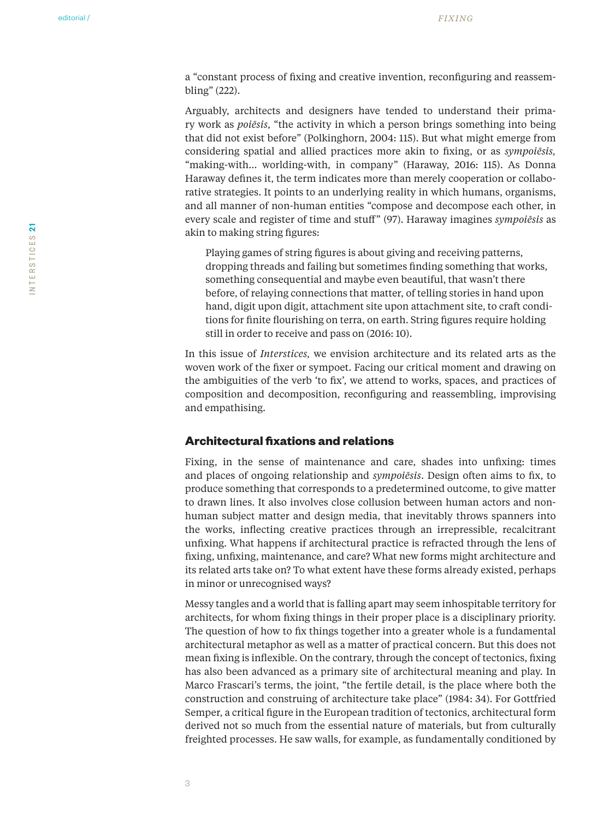a "constant process of fixing and creative invention, reconfiguring and reassembling" (222).

Arguably, architects and designers have tended to understand their primary work as *poiēsis*, "the activity in which a person brings something into being that did not exist before" (Polkinghorn, 2004: 115). But what might emerge from considering spatial and allied practices more akin to fixing, or as *sympoiēsis,*  "making-with… worlding-with, in company" (Haraway, 2016: 115). As Donna Haraway defines it, the term indicates more than merely cooperation or collaborative strategies. It points to an underlying reality in which humans, organisms, and all manner of non-human entities "compose and decompose each other, in every scale and register of time and stuff" (97). Haraway imagines *sympoiēsis* as akin to making string figures:

Playing games of string figures is about giving and receiving patterns, dropping threads and failing but sometimes finding something that works, something consequential and maybe even beautiful, that wasn't there before, of relaying connections that matter, of telling stories in hand upon hand, digit upon digit, attachment site upon attachment site, to craft conditions for finite flourishing on terra, on earth. String figures require holding still in order to receive and pass on (2016: 10).

In this issue of *Interstices,* we envision architecture and its related arts as the woven work of the fixer or sympoet. Facing our critical moment and drawing on the ambiguities of the verb 'to fix', we attend to works, spaces, and practices of composition and decomposition, reconfiguring and reassembling, improvising and empathising.

### **Architectural fixations and relations**

Fixing, in the sense of maintenance and care, shades into unfixing: times and places of ongoing relationship and *sympoiēsis*. Design often aims to fix, to produce something that corresponds to a predetermined outcome, to give matter to drawn lines. It also involves close collusion between human actors and nonhuman subject matter and design media, that inevitably throws spanners into the works, inflecting creative practices through an irrepressible, recalcitrant unfixing. What happens if architectural practice is refracted through the lens of fixing, unfixing, maintenance, and care? What new forms might architecture and its related arts take on? To what extent have these forms already existed, perhaps in minor or unrecognised ways?

Messy tangles and a world that is falling apart may seem inhospitable territory for architects, for whom fixing things in their proper place is a disciplinary priority. The question of how to fix things together into a greater whole is a fundamental architectural metaphor as well as a matter of practical concern. But this does not mean fixing is inflexible. On the contrary, through the concept of tectonics, fixing has also been advanced as a primary site of architectural meaning and play. In Marco Frascari's terms, the joint, "the fertile detail, is the place where both the construction and construing of architecture take place" (1984: 34). For Gottfried Semper, a critical figure in the European tradition of tectonics, architectural form derived not so much from the essential nature of materials, but from culturally freighted processes. He saw walls, for example, as fundamentally conditioned by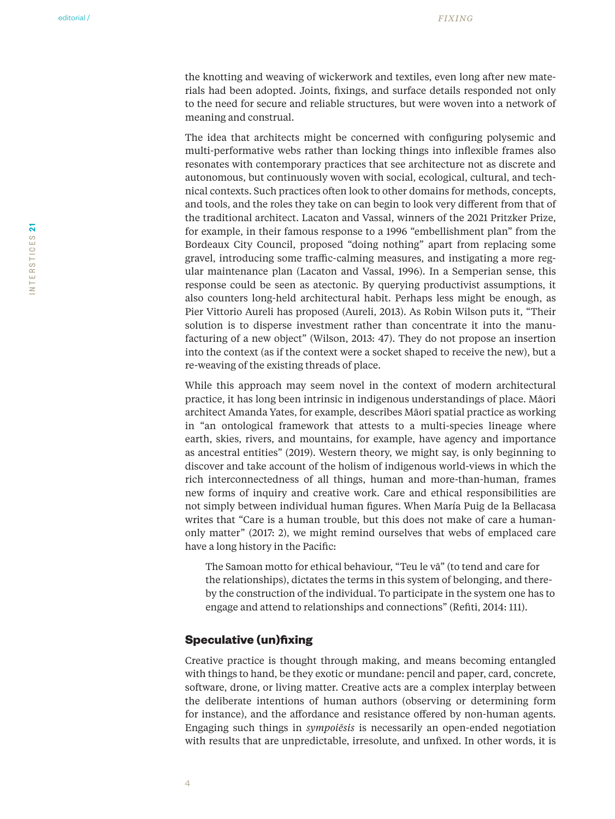the knotting and weaving of wickerwork and textiles, even long after new materials had been adopted. Joints, fixings, and surface details responded not only to the need for secure and reliable structures, but were woven into a network of meaning and construal.

The idea that architects might be concerned with configuring polysemic and multi-performative webs rather than locking things into inflexible frames also resonates with contemporary practices that see architecture not as discrete and autonomous, but continuously woven with social, ecological, cultural, and technical contexts. Such practices often look to other domains for methods, concepts, and tools, and the roles they take on can begin to look very different from that of the traditional architect. Lacaton and Vassal, winners of the 2021 Pritzker Prize, for example, in their famous response to a 1996 "embellishment plan" from the Bordeaux City Council, proposed "doing nothing" apart from replacing some gravel, introducing some traffic-calming measures, and instigating a more regular maintenance plan (Lacaton and Vassal, 1996). In a Semperian sense, this response could be seen as atectonic. By querying productivist assumptions, it also counters long-held architectural habit. Perhaps less might be enough, as Pier Vittorio Aureli has proposed (Aureli, 2013). As Robin Wilson puts it, "Their solution is to disperse investment rather than concentrate it into the manufacturing of a new object" (Wilson, 2013: 47). They do not propose an insertion into the context (as if the context were a socket shaped to receive the new), but a re-weaving of the existing threads of place.

While this approach may seem novel in the context of modern architectural practice, it has long been intrinsic in indigenous understandings of place. Māori architect Amanda Yates, for example, describes Māori spatial practice as working in "an ontological framework that attests to a multi-species lineage where earth, skies, rivers, and mountains, for example, have agency and importance as ancestral entities" (2019). Western theory, we might say, is only beginning to discover and take account of the holism of indigenous world-views in which the rich interconnectedness of all things, human and more-than-human, frames new forms of inquiry and creative work. Care and ethical responsibilities are not simply between individual human figures. When María Puig de la Bellacasa writes that "Care is a human trouble, but this does not make of care a humanonly matter" (2017: 2), we might remind ourselves that webs of emplaced care have a long history in the Pacific:

The Samoan motto for ethical behaviour, "Teu le vā" (to tend and care for the relationships), dictates the terms in this system of belonging, and thereby the construction of the individual. To participate in the system one has to engage and attend to relationships and connections" (Refiti, 2014: 111).

## **Speculative (un)fixing**

Creative practice is thought through making, and means becoming entangled with things to hand, be they exotic or mundane: pencil and paper, card, concrete, software, drone, or living matter. Creative acts are a complex interplay between the deliberate intentions of human authors (observing or determining form for instance), and the affordance and resistance offered by non-human agents. Engaging such things in *sympoiēsis* is necessarily an open-ended negotiation with results that are unpredictable, irresolute, and unfixed. In other words, it is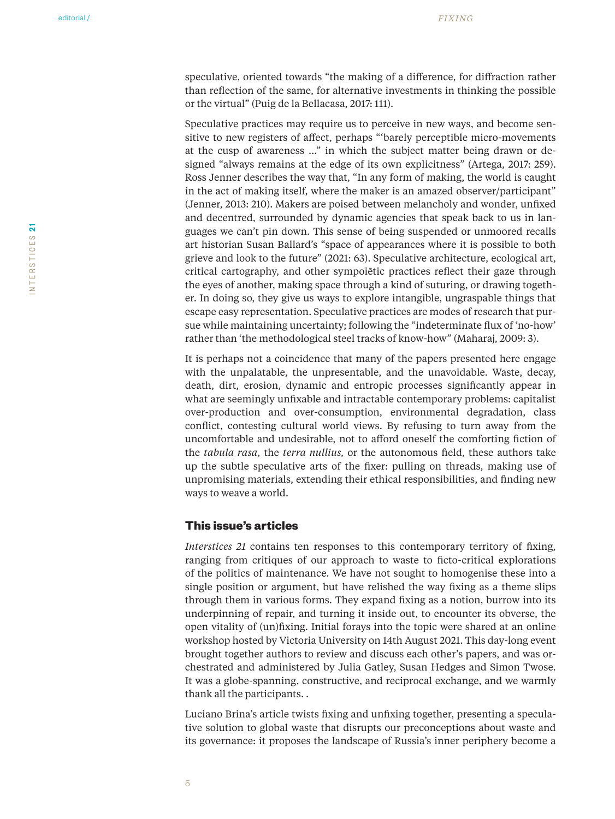speculative, oriented towards "the making of a difference, for diffraction rather than reflection of the same, for alternative investments in thinking the possible or the virtual" (Puig de la Bellacasa, 2017: 111).

Speculative practices may require us to perceive in new ways, and become sensitive to new registers of affect, perhaps "'barely perceptible micro-movements at the cusp of awareness …" in which the subject matter being drawn or designed "always remains at the edge of its own explicitness" (Artega, 2017: 259). Ross Jenner describes the way that, "In any form of making, the world is caught in the act of making itself, where the maker is an amazed observer/participant" (Jenner, 2013: 210). Makers are poised between melancholy and wonder, unfixed and decentred, surrounded by dynamic agencies that speak back to us in languages we can't pin down. This sense of being suspended or unmoored recalls art historian Susan Ballard's "space of appearances where it is possible to both grieve and look to the future" (2021: 63). Speculative architecture, ecological art, critical cartography, and other sympoiētic practices reflect their gaze through the eyes of another, making space through a kind of suturing, or drawing together. In doing so, they give us ways to explore intangible, ungraspable things that escape easy representation. Speculative practices are modes of research that pursue while maintaining uncertainty; following the "indeterminate flux of 'no-how' rather than 'the methodological steel tracks of know-how" (Maharaj, 2009: 3).

It is perhaps not a coincidence that many of the papers presented here engage with the unpalatable, the unpresentable, and the unavoidable. Waste, decay, death, dirt, erosion, dynamic and entropic processes significantly appear in what are seemingly unfixable and intractable contemporary problems: capitalist over-production and over-consumption, environmental degradation, class conflict, contesting cultural world views. By refusing to turn away from the uncomfortable and undesirable, not to afford oneself the comforting fiction of the *tabula rasa,* the *terra nullius,* or the autonomous field, these authors take up the subtle speculative arts of the fixer: pulling on threads, making use of unpromising materials, extending their ethical responsibilities, and finding new ways to weave a world.

#### **This issue's articles**

*Interstices 21* contains ten responses to this contemporary territory of fixing, ranging from critiques of our approach to waste to ficto-critical explorations of the politics of maintenance. We have not sought to homogenise these into a single position or argument, but have relished the way fixing as a theme slips through them in various forms. They expand fixing as a notion, burrow into its underpinning of repair, and turning it inside out, to encounter its obverse, the open vitality of (un)fixing. Initial forays into the topic were shared at an online workshop hosted by Victoria University on 14th August 2021. This day-long event brought together authors to review and discuss each other's papers, and was orchestrated and administered by Julia Gatley, Susan Hedges and Simon Twose. It was a globe-spanning, constructive, and reciprocal exchange, and we warmly thank all the participants. .

Luciano Brina's article twists fixing and unfixing together, presenting a speculative solution to global waste that disrupts our preconceptions about waste and its governance: it proposes the landscape of Russia's inner periphery become a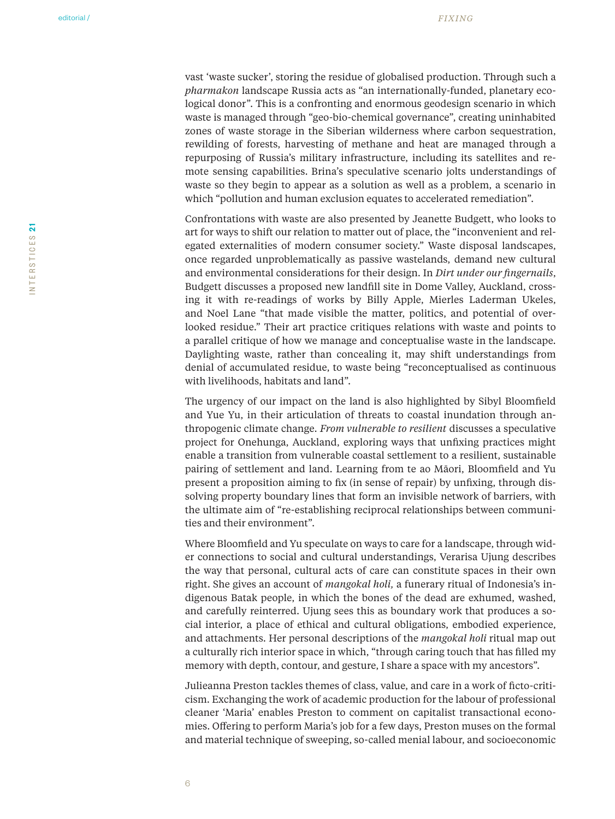vast 'waste sucker', storing the residue of globalised production. Through such a *pharmakon* landscape Russia acts as "an internationally-funded, planetary ecological donor". This is a confronting and enormous geodesign scenario in which waste is managed through "geo-bio-chemical governance", creating uninhabited zones of waste storage in the Siberian wilderness where carbon sequestration, rewilding of forests, harvesting of methane and heat are managed through a repurposing of Russia's military infrastructure, including its satellites and remote sensing capabilities. Brina's speculative scenario jolts understandings of waste so they begin to appear as a solution as well as a problem, a scenario in which "pollution and human exclusion equates to accelerated remediation".

Confrontations with waste are also presented by Jeanette Budgett, who looks to art for ways to shift our relation to matter out of place, the "inconvenient and relegated externalities of modern consumer society." Waste disposal landscapes, once regarded unproblematically as passive wastelands, demand new cultural and environmental considerations for their design. In *Dirt under our fingernails*, Budgett discusses a proposed new landfill site in Dome Valley, Auckland, crossing it with re-readings of works by Billy Apple, Mierles Laderman Ukeles, and Noel Lane "that made visible the matter, politics, and potential of overlooked residue." Their art practice critiques relations with waste and points to a parallel critique of how we manage and conceptualise waste in the landscape. Daylighting waste, rather than concealing it, may shift understandings from denial of accumulated residue, to waste being "reconceptualised as continuous with livelihoods, habitats and land".

The urgency of our impact on the land is also highlighted by Sibyl Bloomfield and Yue Yu, in their articulation of threats to coastal inundation through anthropogenic climate change. *From vulnerable to resilient* discusses a speculative project for Onehunga, Auckland, exploring ways that unfixing practices might enable a transition from vulnerable coastal settlement to a resilient, sustainable pairing of settlement and land. Learning from te ao Māori, Bloomfield and Yu present a proposition aiming to fix (in sense of repair) by unfixing, through dissolving property boundary lines that form an invisible network of barriers, with the ultimate aim of "re-establishing reciprocal relationships between communities and their environment".

Where Bloomfield and Yu speculate on ways to care for a landscape, through wider connections to social and cultural understandings, Verarisa Ujung describes the way that personal, cultural acts of care can constitute spaces in their own right. She gives an account of *mangokal holi,* a funerary ritual of Indonesia's indigenous Batak people, in which the bones of the dead are exhumed, washed, and carefully reinterred. Ujung sees this as boundary work that produces a social interior, a place of ethical and cultural obligations, embodied experience, and attachments. Her personal descriptions of the *mangokal holi* ritual map out a culturally rich interior space in which, "through caring touch that has filled my memory with depth, contour, and gesture, I share a space with my ancestors".

Julieanna Preston tackles themes of class, value, and care in a work of ficto-criticism. Exchanging the work of academic production for the labour of professional cleaner 'Maria' enables Preston to comment on capitalist transactional economies. Offering to perform Maria's job for a few days, Preston muses on the formal and material technique of sweeping, so-called menial labour, and socioeconomic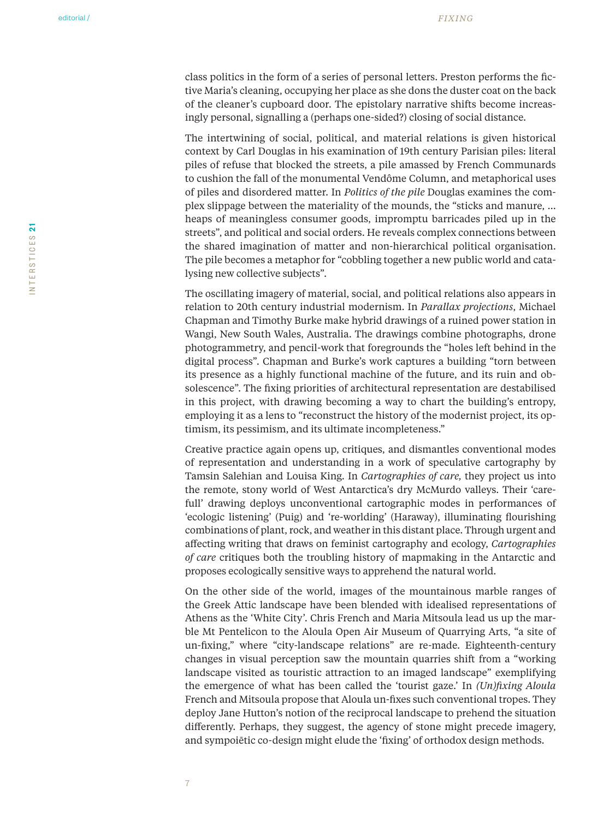class politics in the form of a series of personal letters. Preston performs the fictive Maria's cleaning, occupying her place as she dons the duster coat on the back of the cleaner's cupboard door. The epistolary narrative shifts become increasingly personal, signalling a (perhaps one-sided?) closing of social distance.

The intertwining of social, political, and material relations is given historical context by Carl Douglas in his examination of 19th century Parisian piles: literal piles of refuse that blocked the streets, a pile amassed by French Communards to cushion the fall of the monumental Vendôme Column, and metaphorical uses of piles and disordered matter. In *Politics of the pile* Douglas examines the complex slippage between the materiality of the mounds, the "sticks and manure, … heaps of meaningless consumer goods, impromptu barricades piled up in the streets", and political and social orders. He reveals complex connections between the shared imagination of matter and non-hierarchical political organisation. The pile becomes a metaphor for "cobbling together a new public world and catalysing new collective subjects".

The oscillating imagery of material, social, and political relations also appears in relation to 20th century industrial modernism. In *Parallax projections*, Michael Chapman and Timothy Burke make hybrid drawings of a ruined power station in Wangi, New South Wales, Australia. The drawings combine photographs, drone photogrammetry, and pencil-work that foregrounds the "holes left behind in the digital process". Chapman and Burke's work captures a building "torn between its presence as a highly functional machine of the future, and its ruin and obsolescence". The fixing priorities of architectural representation are destabilised in this project, with drawing becoming a way to chart the building's entropy, employing it as a lens to "reconstruct the history of the modernist project, its optimism, its pessimism, and its ultimate incompleteness."

Creative practice again opens up, critiques, and dismantles conventional modes of representation and understanding in a work of speculative cartography by Tamsin Salehian and Louisa King. In *Cartographies of care,* they project us into the remote, stony world of West Antarctica's dry McMurdo valleys. Their 'carefull' drawing deploys unconventional cartographic modes in performances of 'ecologic listening' (Puig) and 're-worlding' (Haraway), illuminating flourishing combinations of plant, rock, and weather in this distant place. Through urgent and affecting writing that draws on feminist cartography and ecology, *Cartographies of care* critiques both the troubling history of mapmaking in the Antarctic and proposes ecologically sensitive ways to apprehend the natural world.

On the other side of the world, images of the mountainous marble ranges of the Greek Attic landscape have been blended with idealised representations of Athens as the 'White City'. Chris French and Maria Mitsoula lead us up the marble Mt Pentelicon to the Aloula Open Air Museum of Quarrying Arts, "a site of un-fixing," where "city-landscape relations" are re-made. Eighteenth-century changes in visual perception saw the mountain quarries shift from a "working landscape visited as touristic attraction to an imaged landscape" exemplifying the emergence of what has been called the 'tourist gaze.' In *(Un)fixing Aloula*  French and Mitsoula propose that Aloula un-fixes such conventional tropes. They deploy Jane Hutton's notion of the reciprocal landscape to prehend the situation differently. Perhaps, they suggest, the agency of stone might precede imagery, and sympoiētic co-design might elude the 'fixing' of orthodox design methods.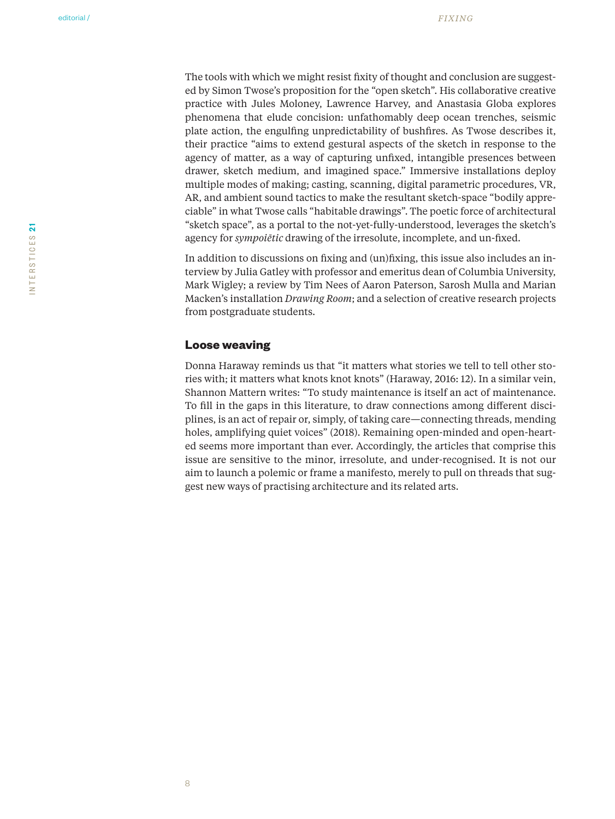The tools with which we might resist fixity of thought and conclusion are suggested by Simon Twose's proposition for the "open sketch". His collaborative creative practice with Jules Moloney, Lawrence Harvey, and Anastasia Globa explores phenomena that elude concision: unfathomably deep ocean trenches, seismic plate action, the engulfing unpredictability of bushfires. As Twose describes it, their practice "aims to extend gestural aspects of the sketch in response to the agency of matter, as a way of capturing unfixed, intangible presences between drawer, sketch medium, and imagined space." Immersive installations deploy multiple modes of making; casting, scanning, digital parametric procedures, VR, AR, and ambient sound tactics to make the resultant sketch-space "bodily appreciable" in what Twose calls "habitable drawings". The poetic force of architectural "sketch space", as a portal to the not-yet-fully-understood, leverages the sketch's agency for *sympoiētic* drawing of the irresolute, incomplete, and un-fixed.

In addition to discussions on fixing and (un)fixing, this issue also includes an interview by Julia Gatley with professor and emeritus dean of Columbia University, Mark Wigley; a review by Tim Nees of Aaron Paterson, Sarosh Mulla and Marian Macken's installation *Drawing Room*; and a selection of creative research projects from postgraduate students.

#### **Loose weaving**

Donna Haraway reminds us that "it matters what stories we tell to tell other stories with; it matters what knots knot knots" (Haraway, 2016: 12). In a similar vein, Shannon Mattern writes: "To study maintenance is itself an act of maintenance. To fill in the gaps in this literature, to draw connections among different disciplines, is an act of repair or, simply, of taking care—connecting threads, mending holes, amplifying quiet voices" (2018). Remaining open-minded and open-hearted seems more important than ever. Accordingly, the articles that comprise this issue are sensitive to the minor, irresolute, and under-recognised. It is not our aim to launch a polemic or frame a manifesto, merely to pull on threads that suggest new ways of practising architecture and its related arts.